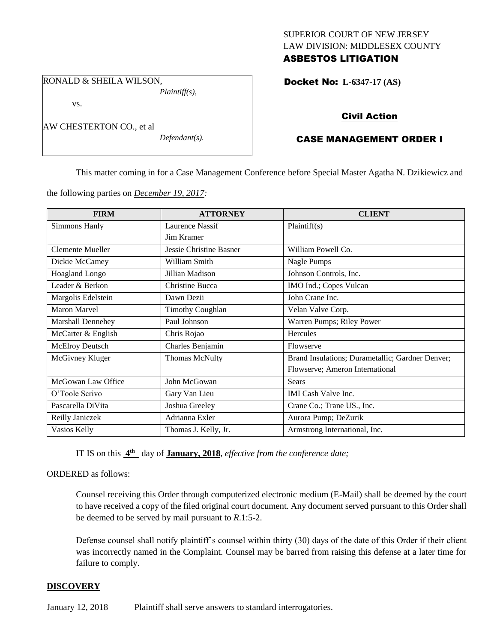# SUPERIOR COURT OF NEW JERSEY LAW DIVISION: MIDDLESEX COUNTY ASBESTOS LITIGATION

RONALD & SHEILA WILSON, *Plaintiff(s),*

vs.

AW CHESTERTON CO., et al

*Defendant(s).*

Docket No: **L-6347-17 (AS)** 

# Civil Action

# CASE MANAGEMENT ORDER I

This matter coming in for a Case Management Conference before Special Master Agatha N. Dzikiewicz and

the following parties on *December 19, 2017:*

| <b>FIRM</b>              | <b>ATTORNEY</b>         | <b>CLIENT</b>                                    |
|--------------------------|-------------------------|--------------------------------------------------|
| Simmons Hanly            | Laurence Nassif         | Plaintiff(s)                                     |
|                          | Jim Kramer              |                                                  |
| Clemente Mueller         | Jessie Christine Basner | William Powell Co.                               |
| Dickie McCamey           | William Smith           | Nagle Pumps                                      |
| <b>Hoagland Longo</b>    | Jillian Madison         | Johnson Controls, Inc.                           |
| Leader & Berkon          | Christine Bucca         | IMO Ind.; Copes Vulcan                           |
| Margolis Edelstein       | Dawn Dezii              | John Crane Inc.                                  |
| <b>Maron Marvel</b>      | <b>Timothy Coughlan</b> | Velan Valve Corp.                                |
| <b>Marshall Dennehey</b> | Paul Johnson            | Warren Pumps; Riley Power                        |
| McCarter & English       | Chris Rojao             | Hercules                                         |
| McElroy Deutsch          | Charles Benjamin        | Flowserve                                        |
| McGivney Kluger          | <b>Thomas McNulty</b>   | Brand Insulations; Durametallic; Gardner Denver; |
|                          |                         | Flowserve; Ameron International                  |
| McGowan Law Office       | John McGowan            | <b>Sears</b>                                     |
| O'Toole Scrivo           | Gary Van Lieu           | <b>IMI</b> Cash Valve Inc.                       |
| Pascarella DiVita        | Joshua Greeley          | Crane Co.; Trane US., Inc.                       |
| Reilly Janiczek          | Adrianna Exler          | Aurora Pump; DeZurik                             |
| Vasios Kelly             | Thomas J. Kelly, Jr.    | Armstrong International, Inc.                    |

IT IS on this **4 th** day of **January, 2018**, *effective from the conference date;*

ORDERED as follows:

Counsel receiving this Order through computerized electronic medium (E-Mail) shall be deemed by the court to have received a copy of the filed original court document. Any document served pursuant to this Order shall be deemed to be served by mail pursuant to *R*.1:5-2.

Defense counsel shall notify plaintiff's counsel within thirty (30) days of the date of this Order if their client was incorrectly named in the Complaint. Counsel may be barred from raising this defense at a later time for failure to comply.

# **DISCOVERY**

January 12, 2018 Plaintiff shall serve answers to standard interrogatories.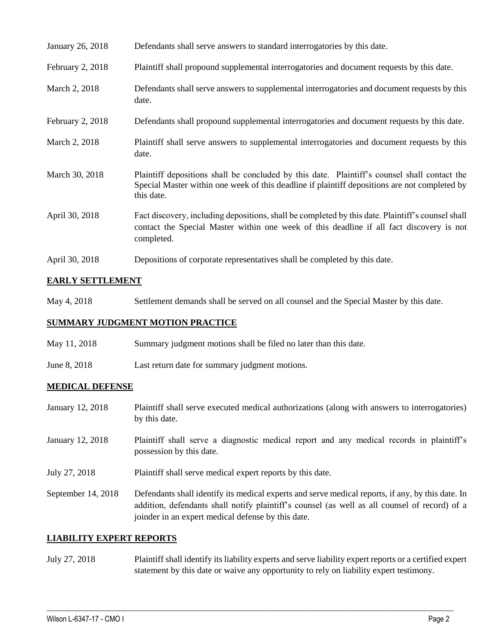| January 26, 2018 | Defendants shall serve answers to standard interrogatories by this date. |
|------------------|--------------------------------------------------------------------------|
|------------------|--------------------------------------------------------------------------|

- February 2, 2018 Plaintiff shall propound supplemental interrogatories and document requests by this date.
- March 2, 2018 Defendants shall serve answers to supplemental interrogatories and document requests by this date.
- February 2, 2018 Defendants shall propound supplemental interrogatories and document requests by this date.
- March 2, 2018 Plaintiff shall serve answers to supplemental interrogatories and document requests by this date.
- March 30, 2018 Plaintiff depositions shall be concluded by this date. Plaintiff's counsel shall contact the Special Master within one week of this deadline if plaintiff depositions are not completed by this date.
- April 30, 2018 Fact discovery, including depositions, shall be completed by this date. Plaintiff's counsel shall contact the Special Master within one week of this deadline if all fact discovery is not completed.
- April 30, 2018 Depositions of corporate representatives shall be completed by this date.

#### **EARLY SETTLEMENT**

May 4, 2018 Settlement demands shall be served on all counsel and the Special Master by this date.

#### **SUMMARY JUDGMENT MOTION PRACTICE**

- May 11, 2018 Summary judgment motions shall be filed no later than this date.
- June 8, 2018 Last return date for summary judgment motions.

#### **MEDICAL DEFENSE**

January 12, 2018 Plaintiff shall serve executed medical authorizations (along with answers to interrogatories) by this date. January 12, 2018 Plaintiff shall serve a diagnostic medical report and any medical records in plaintiff's possession by this date. July 27, 2018 Plaintiff shall serve medical expert reports by this date. September 14, 2018 Defendants shall identify its medical experts and serve medical reports, if any, by this date. In addition, defendants shall notify plaintiff's counsel (as well as all counsel of record) of a joinder in an expert medical defense by this date.

#### **LIABILITY EXPERT REPORTS**

July 27, 2018 Plaintiff shall identify its liability experts and serve liability expert reports or a certified expert statement by this date or waive any opportunity to rely on liability expert testimony.

 $\_$  ,  $\_$  ,  $\_$  ,  $\_$  ,  $\_$  ,  $\_$  ,  $\_$  ,  $\_$  ,  $\_$  ,  $\_$  ,  $\_$  ,  $\_$  ,  $\_$  ,  $\_$  ,  $\_$  ,  $\_$  ,  $\_$  ,  $\_$  ,  $\_$  ,  $\_$  ,  $\_$  ,  $\_$  ,  $\_$  ,  $\_$  ,  $\_$  ,  $\_$  ,  $\_$  ,  $\_$  ,  $\_$  ,  $\_$  ,  $\_$  ,  $\_$  ,  $\_$  ,  $\_$  ,  $\_$  ,  $\_$  ,  $\_$  ,